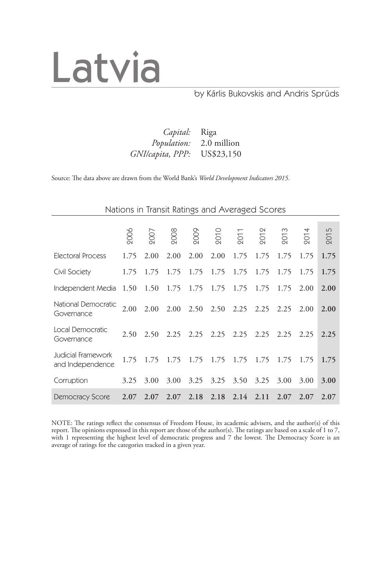

### by Kārlis Bukovskis and Andris Sprūds

### *Capital:* Riga *Population:* 2.0 million  $GNI/capita, PPP:$

Source: The data above are drawn from the World Bank's *World Development Indicators 2015.*

|                                        | Nations in Transit Ratings and Averaged Scores |             |      |                             |               |      |      |      |                |      |  |
|----------------------------------------|------------------------------------------------|-------------|------|-----------------------------|---------------|------|------|------|----------------|------|--|
|                                        |                                                |             |      |                             |               |      |      |      |                |      |  |
|                                        | 2006                                           | 2007        | 2008 | 2009                        | 2010          | 2011 | 201  | 201  | $\overline{5}$ | 2015 |  |
| Electoral Process                      | 1.75                                           | 2.00        | 2.00 | 2.00                        | 2.00          | 1.75 | 1.75 | 1.75 | 1.75           | 1.75 |  |
| Civil Society                          | 1.75                                           | 1.75        | 1.75 | 1.75                        | 1.75          | 1.75 | 1.75 | 1.75 | 1.75           | 1.75 |  |
| Independent Media                      | 1.50                                           | 1.50        | 1.75 |                             | 1.75 1.75     | 1.75 | 1.75 | 1.75 | 2.00           | 2.00 |  |
| National Democratic<br>Governance      | 2.00                                           | 2.00        |      | 2.00 2.50 2.50 2.25         |               |      | 2.25 | 2.25 | 2.00           | 2.00 |  |
| Local Democratic<br>Governance         | 2.50                                           | 2.50        | 2.25 |                             | $2.25$ $2.25$ | 2.25 | 2.25 | 2.25 | 2.25           | 2.25 |  |
| Judicial Framework<br>and Independence | 1.75                                           | 1.75        |      | 1.75 1.75 1.75              |               | 1.75 | 1.75 | 1.75 | 1.75           | 1.75 |  |
| Corruption                             | 3.25                                           | 3.00        | 3.00 | 3.25                        | 3.25          | 3.50 | 3.25 | 3.00 | 3.00           | 3.00 |  |
| Democracy Score                        |                                                | $2.07$ 2.07 |      | $2.07$ $2.18$ $2.18$ $2.14$ |               |      | 2.11 | 2.07 | 2.07           | 2.07 |  |

NOTE: The ratings reflect the consensus of Freedom House, its academic advisers, and the author(s) of this report. The opinions expressed in this report are those of the author(s). The ratings are based on a scale of 1 to 7, with 1 representing the highest level of democratic progress and 7 the lowest. The Democracy Score is an average of ratings for the categories tracked in a given year.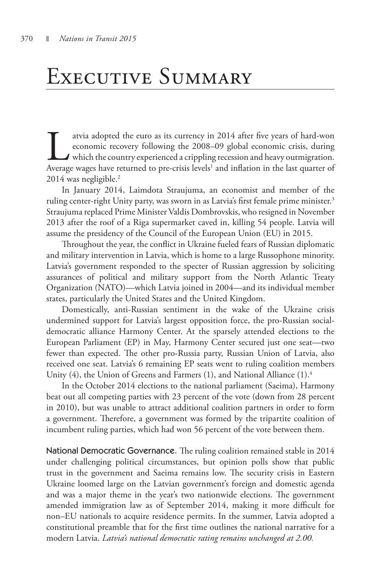## Executive Summary

atvia adopted the euro as its currency in 2014 after five years of hard-won economic recovery following the 2008–09 global economic crisis, during which the country experienced a crippling recession and heavy outmigration. economic recovery following the 2008–09 global economic crisis, during  $\blacktriangle$  which the country experienced a crippling recession and heavy outmigration. Average wages have returned to pre-crisis levels<sup>1</sup> and inflation in the last quarter of 2014 was negligible.2

In January 2014, Laimdota Straujuma, an economist and member of the ruling center-right Unity party, was sworn in as Latvia's first female prime minister.<sup>3</sup> Straujuma replaced Prime Minister Valdis Dombrovskis, who resigned in November 2013 after the roof of a Riga supermarket caved in, killing 54 people. Latvia will assume the presidency of the Council of the European Union (EU) in 2015.

Throughout the year, the conflict in Ukraine fueled fears of Russian diplomatic and military intervention in Latvia, which is home to a large Russophone minority. Latvia's government responded to the specter of Russian aggression by soliciting assurances of political and military support from the North Atlantic Treaty Organization (NATO)—which Latvia joined in 2004—and its individual member states, particularly the United States and the United Kingdom.

Domestically, anti-Russian sentiment in the wake of the Ukraine crisis undermined support for Latvia's largest opposition force, the pro-Russian socialdemocratic alliance Harmony Center. At the sparsely attended elections to the European Parliament (EP) in May, Harmony Center secured just one seat—two fewer than expected. The other pro-Russia party, Russian Union of Latvia, also received one seat. Latvia's 6 remaining EP seats went to ruling coalition members Unity (4), the Union of Greens and Farmers (1), and National Alliance (1).<sup>4</sup>

In the October 2014 elections to the national parliament (Saeima), Harmony beat out all competing parties with 23 percent of the vote (down from 28 percent in 2010), but was unable to attract additional coalition partners in order to form a government. Therefore, a government was formed by the tripartite coalition of incumbent ruling parties, which had won 56 percent of the vote between them.

National Democratic Governance. The ruling coalition remained stable in 2014 under challenging political circumstances, but opinion polls show that public trust in the government and Saeima remains low. The security crisis in Eastern Ukraine loomed large on the Latvian government's foreign and domestic agenda and was a major theme in the year's two nationwide elections. The government amended immigration law as of September 2014, making it more difficult for non–EU nationals to acquire residence permits. In the summer, Latvia adopted a constitutional preamble that for the first time outlines the national narrative for a modern Latvia. *Latvia's national democratic rating remains unchanged at 2.00.*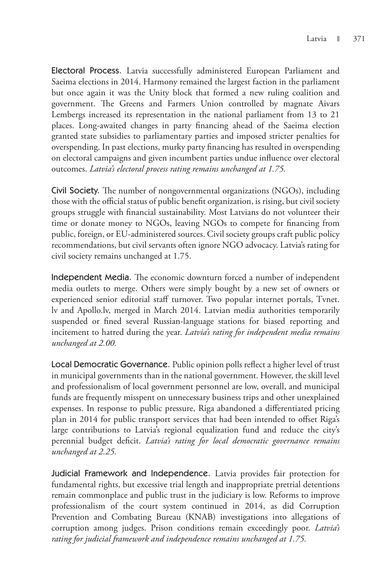Electoral Process. Latvia successfully administered European Parliament and Saeima elections in 2014. Harmony remained the largest faction in the parliament but once again it was the Unity block that formed a new ruling coalition and government. The Greens and Farmers Union controlled by magnate Aivars Lembergs increased its representation in the national parliament from 13 to 21 places. Long-awaited changes in party financing ahead of the Saeima election granted state subsidies to parliamentary parties and imposed stricter penalties for overspending. In past elections, murky party financing has resulted in overspending on electoral campaigns and given incumbent parties undue influence over electoral outcomes. *Latvia's electoral process rating remains unchanged at 1.75.*

Civil Society. The number of nongovernmental organizations (NGOs), including those with the official status of public benefit organization, is rising, but civil society groups struggle with financial sustainability. Most Latvians do not volunteer their time or donate money to NGOs, leaving NGOs to compete for financing from public, foreign, or EU-administered sources. Civil society groups craft public policy recommendations, but civil servants often ignore NGO advocacy. Latvia's rating for civil society remains unchanged at 1.75.

Independent Media. The economic downturn forced a number of independent media outlets to merge. Others were simply bought by a new set of owners or experienced senior editorial staff turnover. Two popular internet portals, Tvnet. lv and Apollo.lv, merged in March 2014. Latvian media authorities temporarily suspended or fined several Russian-language stations for biased reporting and incitement to hatred during the year. *Latvia's rating for independent media remains unchanged at 2.00.*

Local Democratic Governance. Public opinion polls reflect a higher level of trust in municipal governments than in the national government. However, the skill level and professionalism of local government personnel are low, overall, and municipal funds are frequently misspent on unnecessary business trips and other unexplained expenses. In response to public pressure, Riga abandoned a differentiated pricing plan in 2014 for public transport services that had been intended to offset Riga's large contributions to Latvia's regional equalization fund and reduce the city's perennial budget deficit. *Latvia's rating for local democratic governance remains unchanged at 2.25.*

Judicial Framework and Independence. Latvia provides fair protection for fundamental rights, but excessive trial length and inappropriate pretrial detentions remain commonplace and public trust in the judiciary is low. Reforms to improve professionalism of the court system continued in 2014, as did Corruption Prevention and Combating Bureau (KNAB) investigations into allegations of corruption among judges. Prison conditions remain exceedingly poor. *Latvia's rating for judicial framework and independence remains unchanged at 1.75.*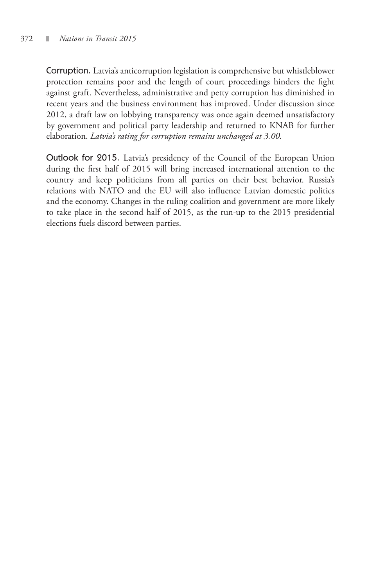Corruption. Latvia's anticorruption legislation is comprehensive but whistleblower protection remains poor and the length of court proceedings hinders the fight against graft. Nevertheless, administrative and petty corruption has diminished in recent years and the business environment has improved. Under discussion since 2012, a draft law on lobbying transparency was once again deemed unsatisfactory by government and political party leadership and returned to KNAB for further elaboration. *Latvia's rating for corruption remains unchanged at 3.00.*

Outlook for 2015. Latvia's presidency of the Council of the European Union during the first half of 2015 will bring increased international attention to the country and keep politicians from all parties on their best behavior. Russia's relations with NATO and the EU will also influence Latvian domestic politics and the economy. Changes in the ruling coalition and government are more likely to take place in the second half of 2015, as the run-up to the 2015 presidential elections fuels discord between parties.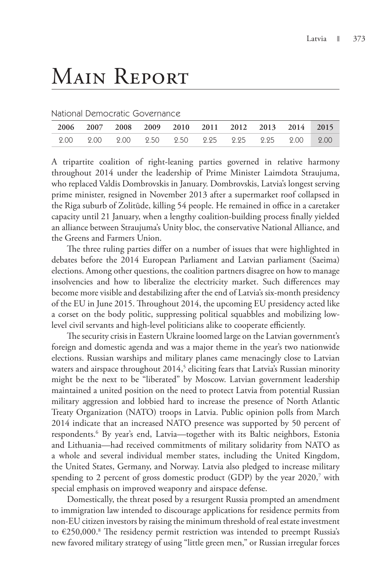# Main Report

National Democratic Governance

|  |  |  | 2006 2007 2008 2009 2010 2011 2012 2013 2014 2015 |  |  |
|--|--|--|---------------------------------------------------|--|--|
|  |  |  |                                                   |  |  |

A tripartite coalition of right-leaning parties governed in relative harmony throughout 2014 under the leadership of Prime Minister Laimdota Straujuma, who replaced Valdis Dombrovskis in January. Dombrovskis, Latvia's longest serving prime minister, resigned in November 2013 after a supermarket roof collapsed in the Riga suburb of Zolitūde, killing 54 people. He remained in office in a caretaker capacity until 21 January, when a lengthy coalition-building process finally yielded an alliance between Straujuma's Unity bloc, the conservative National Alliance, and the Greens and Farmers Union.

The three ruling parties differ on a number of issues that were highlighted in debates before the 2014 European Parliament and Latvian parliament (Saeima) elections. Among other questions, the coalition partners disagree on how to manage insolvencies and how to liberalize the electricity market. Such differences may become more visible and destabilizing after the end of Latvia's six-month presidency of the EU in June 2015. Throughout 2014, the upcoming EU presidency acted like a corset on the body politic, suppressing political squabbles and mobilizing lowlevel civil servants and high-level politicians alike to cooperate efficiently.

The security crisis in Eastern Ukraine loomed large on the Latvian government's foreign and domestic agenda and was a major theme in the year's two nationwide elections. Russian warships and military planes came menacingly close to Latvian waters and airspace throughout 2014,<sup>5</sup> eliciting fears that Latvia's Russian minority might be the next to be "liberated" by Moscow. Latvian government leadership maintained a united position on the need to protect Latvia from potential Russian military aggression and lobbied hard to increase the presence of North Atlantic Treaty Organization (NATO) troops in Latvia. Public opinion polls from March 2014 indicate that an increased NATO presence was supported by 50 percent of respondents.<sup>6</sup> By year's end, Latvia—together with its Baltic neighbors, Estonia and Lithuania—had received commitments of military solidarity from NATO as a whole and several individual member states, including the United Kingdom, the United States, Germany, and Norway. Latvia also pledged to increase military spending to 2 percent of gross domestic product (GDP) by the year  $2020$ ,<sup>7</sup> with special emphasis on improved weaponry and airspace defense.

Domestically, the threat posed by a resurgent Russia prompted an amendment to immigration law intended to discourage applications for residence permits from non-EU citizen investors by raising the minimum threshold of real estate investment to €250,000.<sup>8</sup> The residency permit restriction was intended to preempt Russia's new favored military strategy of using "little green men," or Russian irregular forces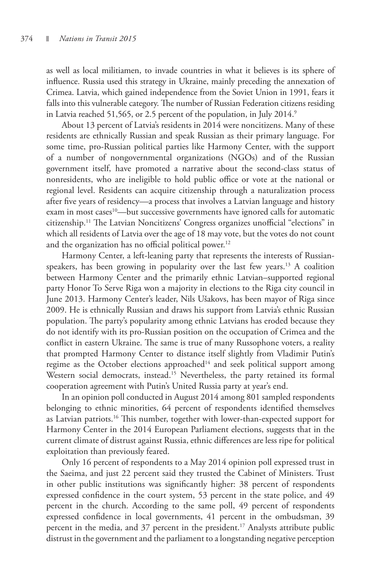as well as local militiamen, to invade countries in what it believes is its sphere of influence. Russia used this strategy in Ukraine, mainly preceding the annexation of Crimea. Latvia, which gained independence from the Soviet Union in 1991, fears it falls into this vulnerable category. The number of Russian Federation citizens residing in Latvia reached 51,565, or 2.5 percent of the population, in July 2014.<sup>9</sup>

About 13 percent of Latvia's residents in 2014 were noncitizens. Many of these residents are ethnically Russian and speak Russian as their primary language. For some time, pro-Russian political parties like Harmony Center, with the support of a number of nongovernmental organizations (NGOs) and of the Russian government itself, have promoted a narrative about the second-class status of nonresidents, who are ineligible to hold public office or vote at the national or regional level. Residents can acquire citizenship through a naturalization process after five years of residency—a process that involves a Latvian language and history exam in most cases<sup>10</sup>—but successive governments have ignored calls for automatic citizenship.11 The Latvian Noncitizens' Congress organizes unofficial "elections" in which all residents of Latvia over the age of 18 may vote, but the votes do not count and the organization has no official political power.<sup>12</sup>

Harmony Center, a left-leaning party that represents the interests of Russianspeakers, has been growing in popularity over the last few years.<sup>13</sup> A coalition between Harmony Center and the primarily ethnic Latvian–supported regional party Honor To Serve Riga won a majority in elections to the Riga city council in June 2013. Harmony Center's leader, Nils Ušakovs, has been mayor of Riga since 2009. He is ethnically Russian and draws his support from Latvia's ethnic Russian population. The party's popularity among ethnic Latvians has eroded because they do not identify with its pro-Russian position on the occupation of Crimea and the conflict in eastern Ukraine. The same is true of many Russophone voters, a reality that prompted Harmony Center to distance itself slightly from Vladimir Putin's regime as the October elections approached<sup>14</sup> and seek political support among Western social democrats, instead.<sup>15</sup> Nevertheless, the party retained its formal cooperation agreement with Putin's United Russia party at year's end.

In an opinion poll conducted in August 2014 among 801 sampled respondents belonging to ethnic minorities, 64 percent of respondents identified themselves as Latvian patriots.<sup>16</sup> This number, together with lower-than-expected support for Harmony Center in the 2014 European Parliament elections, suggests that in the current climate of distrust against Russia, ethnic differences are less ripe for political exploitation than previously feared.

Only 16 percent of respondents to a May 2014 opinion poll expressed trust in the Saeima, and just 22 percent said they trusted the Cabinet of Ministers. Trust in other public institutions was significantly higher: 38 percent of respondents expressed confidence in the court system, 53 percent in the state police, and 49 percent in the church. According to the same poll, 49 percent of respondents expressed confidence in local governments, 41 percent in the ombudsman, 39 percent in the media, and 37 percent in the president.<sup>17</sup> Analysts attribute public distrust in the government and the parliament to a longstanding negative perception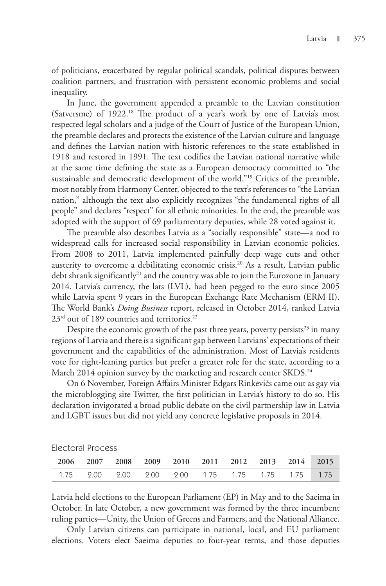of politicians, exacerbated by regular political scandals, political disputes between coalition partners, and frustration with persistent economic problems and social inequality.

In June, the government appended a preamble to the Latvian constitution (Satversme) of 1922.<sup>18</sup> The product of a year's work by one of Latvia's most respected legal scholars and a judge of the Court of Justice of the European Union, the preamble declares and protects the existence of the Latvian culture and language and defines the Latvian nation with historic references to the state established in 1918 and restored in 1991. The text codifies the Latvian national narrative while at the same time defining the state as a European democracy committed to "the sustainable and democratic development of the world."<sup>19</sup> Critics of the preamble, most notably from Harmony Center, objected to the text's references to "the Latvian nation," although the text also explicitly recognizes "the fundamental rights of all people" and declares "respect" for all ethnic minorities. In the end, the preamble was adopted with the support of 69 parliamentary deputies, while 28 voted against it.

The preamble also describes Latvia as a "socially responsible" state—a nod to widespread calls for increased social responsibility in Latvian economic policies. From 2008 to 2011, Latvia implemented painfully deep wage cuts and other austerity to overcome a debilitating economic crisis.<sup>20</sup> As a result, Latvian public debt shrank significantly<sup>21</sup> and the country was able to join the Eurozone in January 2014. Latvia's currency, the lats (LVL), had been pegged to the euro since 2005 while Latvia spent 9 years in the European Exchange Rate Mechanism (ERM II). The World Bank's *Doing Business* report, released in October 2014, ranked Latvia  $23<sup>rd</sup>$  out of 189 countries and territories.<sup>22</sup>

Despite the economic growth of the past three years, poverty persists<sup>23</sup> in many regions of Latvia and there is a significant gap between Latvians' expectations of their government and the capabilities of the administration. Most of Latvia's residents vote for right-leaning parties but prefer a greater role for the state, according to a March 2014 opinion survey by the marketing and research center SKDS.<sup>24</sup>

On 6 November, Foreign Affairs Minister Edgars Rinkēvičs came out as gay via the microblogging site Twitter, the first politician in Latvia's history to do so. His declaration invigorated a broad public debate on the civil partnership law in Latvia and LGBT issues but did not yield any concrete legislative proposals in 2014.

Electoral Process

|  |  |  | 2006 2007 2008 2009 2010 2011 2012 2013 2014 2015          |  |  |
|--|--|--|------------------------------------------------------------|--|--|
|  |  |  | 1.75  2.00  2.00  2.00  2.00  1.75  1.75  1.75  1.75  1.75 |  |  |

Latvia held elections to the European Parliament (EP) in May and to the Saeima in October. In late October, a new government was formed by the three incumbent ruling parties—Unity, the Union of Greens and Farmers, and the National Alliance.

Only Latvian citizens can participate in national, local, and EU parliament elections. Voters elect Saeima deputies to four-year terms, and those deputies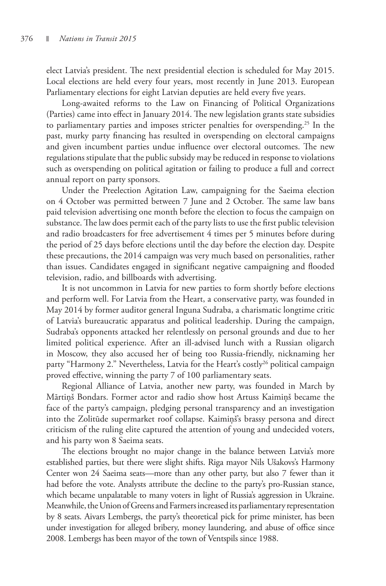elect Latvia's president. The next presidential election is scheduled for May 2015. Local elections are held every four years, most recently in June 2013. European Parliamentary elections for eight Latvian deputies are held every five years.

Long-awaited reforms to the Law on Financing of Political Organizations (Parties) came into effect in January 2014. The new legislation grants state subsidies to parliamentary parties and imposes stricter penalties for overspending.<sup>25</sup> In the past, murky party financing has resulted in overspending on electoral campaigns and given incumbent parties undue influence over electoral outcomes. The new regulations stipulate that the public subsidy may be reduced in response to violations such as overspending on political agitation or failing to produce a full and correct annual report on party sponsors.

Under the Preelection Agitation Law, campaigning for the Saeima election on 4 October was permitted between 7 June and 2 October. The same law bans paid television advertising one month before the election to focus the campaign on substance. The law does permit each of the party lists to use the first public television and radio broadcasters for free advertisement 4 times per 5 minutes before during the period of 25 days before elections until the day before the election day. Despite these precautions, the 2014 campaign was very much based on personalities, rather than issues. Candidates engaged in significant negative campaigning and flooded television, radio, and billboards with advertising.

It is not uncommon in Latvia for new parties to form shortly before elections and perform well. For Latvia from the Heart, a conservative party, was founded in May 2014 by former auditor general Inguna Sudraba, a charismatic longtime critic of Latvia's bureaucratic apparatus and political leadership. During the campaign, Sudraba's opponents attacked her relentlessly on personal grounds and due to her limited political experience. After an ill-advised lunch with a Russian oligarch in Moscow, they also accused her of being too Russia-friendly, nicknaming her party "Harmony 2." Nevertheless, Latvia for the Heart's costly<sup>26</sup> political campaign proved effective, winning the party 7 of 100 parliamentary seats.

Regional Alliance of Latvia, another new party, was founded in March by Mārtiņš Bondars. Former actor and radio show host Artuss Kaimiņš became the face of the party's campaign, pledging personal transparency and an investigation into the Zolitūde supermarket roof collapse. Kaimiņš's brassy persona and direct criticism of the ruling elite captured the attention of young and undecided voters, and his party won 8 Saeima seats.

The elections brought no major change in the balance between Latvia's more established parties, but there were slight shifts. Riga mayor Nils Ušakovs's Harmony Center won 24 Saeima seats—more than any other party, but also 7 fewer than it had before the vote. Analysts attribute the decline to the party's pro-Russian stance, which became unpalatable to many voters in light of Russia's aggression in Ukraine. Meanwhile, the Union of Greens and Farmers increased its parliamentary representation by 8 seats. Aivars Lembergs, the party's theoretical pick for prime minister, has been under investigation for alleged bribery, money laundering, and abuse of office since 2008. Lembergs has been mayor of the town of Ventspils since 1988.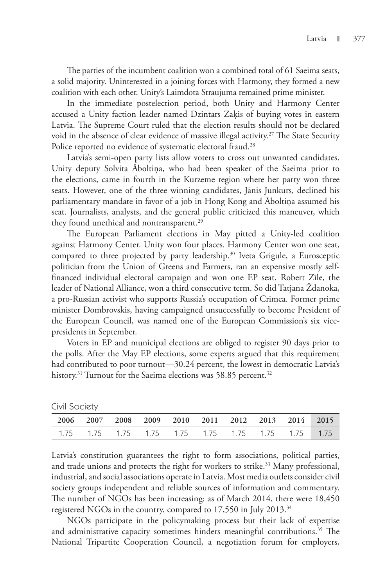The parties of the incumbent coalition won a combined total of 61 Saeima seats, a solid majority. Uninterested in a joining forces with Harmony, they formed a new coalition with each other. Unity's Laimdota Straujuma remained prime minister.

In the immediate postelection period, both Unity and Harmony Center accused a Unity faction leader named Dzintars Zaķis of buying votes in eastern Latvia. The Supreme Court ruled that the election results should not be declared void in the absence of clear evidence of massive illegal activity.<sup>27</sup> The State Security Police reported no evidence of systematic electoral fraud.<sup>28</sup>

Latvia's semi-open party lists allow voters to cross out unwanted candidates. Unity deputy Solvita Āboltiņa, who had been speaker of the Saeima prior to the elections, came in fourth in the Kurzeme region where her party won three seats. However, one of the three winning candidates, Jānis Junkurs, declined his parliamentary mandate in favor of a job in Hong Kong and Āboltiņa assumed his seat. Journalists, analysts, and the general public criticized this maneuver, which they found unethical and nontransparent.<sup>29</sup>

The European Parliament elections in May pitted a Unity-led coalition against Harmony Center. Unity won four places. Harmony Center won one seat, compared to three projected by party leadership.<sup>30</sup> Iveta Grigule, a Eurosceptic politician from the Union of Greens and Farmers, ran an expensive mostly selffinanced individual electoral campaign and won one EP seat. Robert Zīle, the leader of National Alliance, won a third consecutive term. So did Tatjana Ždanoka, a pro-Russian activist who supports Russia's occupation of Crimea. Former prime minister Dombrovskis, having campaigned unsuccessfully to become President of the European Council, was named one of the European Commission's six vicepresidents in September.

Voters in EP and municipal elections are obliged to register 90 days prior to the polls. After the May EP elections, some experts argued that this requirement had contributed to poor turnout—30.24 percent, the lowest in democratic Latvia's history.<sup>31</sup> Turnout for the Saeima elections was 58.85 percent.<sup>32</sup>

| ------------                                                        |  |  |  |  |  |
|---------------------------------------------------------------------|--|--|--|--|--|
| 2006 2007 2008 2009 2010 2011 2012 2013 2014 2015                   |  |  |  |  |  |
| 1.75   1.75   1.75   1.75   1.75   1.75   1.75   1.75   1.75   1.75 |  |  |  |  |  |

|  | Civil Society |
|--|---------------|
|--|---------------|

Latvia's constitution guarantees the right to form associations, political parties, and trade unions and protects the right for workers to strike.<sup>33</sup> Many professional, industrial, and social associations operate in Latvia. Most media outlets consider civil society groups independent and reliable sources of information and commentary. The number of NGOs has been increasing: as of March 2014, there were 18,450 registered NGOs in the country, compared to 17,550 in July 2013.<sup>34</sup>

NGOs participate in the policymaking process but their lack of expertise and administrative capacity sometimes hinders meaningful contributions.<sup>35</sup> The National Tripartite Cooperation Council, a negotiation forum for employers,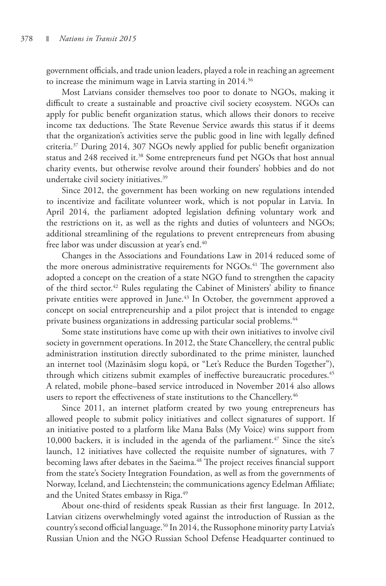government officials, and trade union leaders, played a role in reaching an agreement to increase the minimum wage in Latvia starting in 2014.<sup>36</sup>

Most Latvians consider themselves too poor to donate to NGOs, making it difficult to create a sustainable and proactive civil society ecosystem. NGOs can apply for public benefit organization status, which allows their donors to receive income tax deductions. The State Revenue Service awards this status if it deems that the organization's activities serve the public good in line with legally defined criteria.37 During 2014, 307 NGOs newly applied for public benefit organization status and 248 received it.<sup>38</sup> Some entrepreneurs fund pet NGOs that host annual charity events, but otherwise revolve around their founders' hobbies and do not undertake civil society initiatives.39

Since 2012, the government has been working on new regulations intended to incentivize and facilitate volunteer work, which is not popular in Latvia. In April 2014, the parliament adopted legislation defining voluntary work and the restrictions on it, as well as the rights and duties of volunteers and NGOs; additional streamlining of the regulations to prevent entrepreneurs from abusing free labor was under discussion at year's end.<sup>40</sup>

Changes in the Associations and Foundations Law in 2014 reduced some of the more onerous administrative requirements for NGOs.<sup>41</sup> The government also adopted a concept on the creation of a state NGO fund to strengthen the capacity of the third sector.<sup>42</sup> Rules regulating the Cabinet of Ministers' ability to finance private entities were approved in June.<sup>43</sup> In October, the government approved a concept on social entrepreneurship and a pilot project that is intended to engage private business organizations in addressing particular social problems.<sup>44</sup>

Some state institutions have come up with their own initiatives to involve civil society in government operations. In 2012, the State Chancellery, the central public administration institution directly subordinated to the prime minister, launched an internet tool (Mazināsim slogu kopā, or "Let's Reduce the Burden Together"), through which citizens submit examples of ineffective bureaucratic procedures.<sup>45</sup> A related, mobile phone–based service introduced in November 2014 also allows users to report the effectiveness of state institutions to the Chancellery.<sup>46</sup>

Since 2011, an internet platform created by two young entrepreneurs has allowed people to submit policy initiatives and collect signatures of support. If an initiative posted to a platform like Mana Balss (My Voice) wins support from 10,000 backers, it is included in the agenda of the parliament.<sup>47</sup> Since the site's launch, 12 initiatives have collected the requisite number of signatures, with 7 becoming laws after debates in the Saeima.<sup>48</sup> The project receives financial support from the state's Society Integration Foundation, as well as from the governments of Norway, Iceland, and Liechtenstein; the communications agency Edelman Affiliate; and the United States embassy in Riga.<sup>49</sup>

About one-third of residents speak Russian as their first language. In 2012, Latvian citizens overwhelmingly voted against the introduction of Russian as the country's second official language.<sup>50</sup> In 2014, the Russophone minority party Latvia's Russian Union and the NGO Russian School Defense Headquarter continued to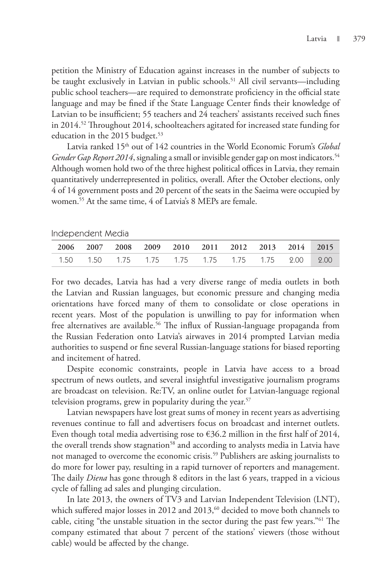petition the Ministry of Education against increases in the number of subjects to be taught exclusively in Latvian in public schools.<sup>51</sup> All civil servants—including public school teachers—are required to demonstrate proficiency in the official state language and may be fined if the State Language Center finds their knowledge of Latvian to be insufficient; 55 teachers and 24 teachers' assistants received such fines in 2014.52 Throughout 2014, schoolteachers agitated for increased state funding for education in the 2015 budget.<sup>53</sup>

Latvia ranked 15th out of 142 countries in the World Economic Forum's *Global Gender Gap Report 2014*, signaling a small or invisible gender gap on most indicators.<sup>54</sup> Although women hold two of the three highest political offices in Latvia, they remain quantitatively underrepresented in politics, overall. After the October elections, only 4 of 14 government posts and 20 percent of the seats in the Saeima were occupied by women.55 At the same time, 4 of Latvia's 8 MEPs are female.

| Independent Media |                                                      |  |  |  |  |
|-------------------|------------------------------------------------------|--|--|--|--|
|                   | 2006 2007 2008 2009 2010 2011 2012 2013 2014 2015    |  |  |  |  |
|                   | 1.50  1.50  1.75  1.75  1.75  1.75  1.75  2.00  2.00 |  |  |  |  |

For two decades, Latvia has had a very diverse range of media outlets in both the Latvian and Russian languages, but economic pressure and changing media orientations have forced many of them to consolidate or close operations in recent years. Most of the population is unwilling to pay for information when free alternatives are available.<sup>56</sup> The influx of Russian-language propaganda from the Russian Federation onto Latvia's airwaves in 2014 prompted Latvian media authorities to suspend or fine several Russian-language stations for biased reporting and incitement of hatred.

Despite economic constraints, people in Latvia have access to a broad spectrum of news outlets, and several insightful investigative journalism programs are broadcast on television. Re:TV, an online outlet for Latvian-language regional television programs, grew in popularity during the year.<sup>57</sup>

Latvian newspapers have lost great sums of money in recent years as advertising revenues continue to fall and advertisers focus on broadcast and internet outlets. Even though total media advertising rose to  $\epsilon$ 36.2 million in the first half of 2014, the overall trends show stagnation<sup>58</sup> and according to analysts media in Latvia have not managed to overcome the economic crisis.<sup>59</sup> Publishers are asking journalists to do more for lower pay, resulting in a rapid turnover of reporters and management. The daily *Diena* has gone through 8 editors in the last 6 years, trapped in a vicious cycle of falling ad sales and plunging circulation.

In late 2013, the owners of TV3 and Latvian Independent Television (LNT), which suffered major losses in 2012 and 2013, $60$  decided to move both channels to cable, citing "the unstable situation in the sector during the past few years."61 The company estimated that about 7 percent of the stations' viewers (those without cable) would be affected by the change.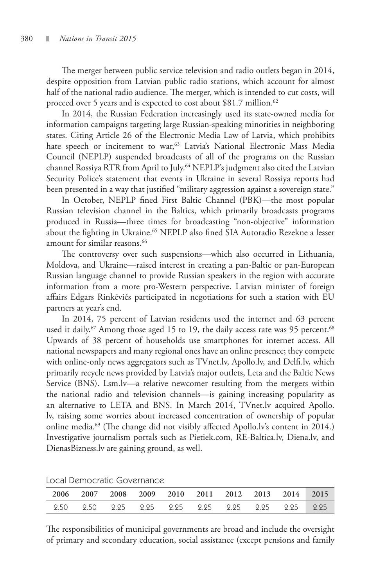The merger between public service television and radio outlets began in 2014, despite opposition from Latvian public radio stations, which account for almost half of the national radio audience. The merger, which is intended to cut costs, will proceed over 5 years and is expected to cost about \$81.7 million.<sup>62</sup>

In 2014, the Russian Federation increasingly used its state-owned media for information campaigns targeting large Russian-speaking minorities in neighboring states. Citing Article 26 of the Electronic Media Law of Latvia, which prohibits hate speech or incitement to war,<sup>63</sup> Latvia's National Electronic Mass Media Council (NEPLP) suspended broadcasts of all of the programs on the Russian channel Rossiya RTR from April to July.<sup>64</sup> NEPLP's judgment also cited the Latvian Security Police's statement that events in Ukraine in several Rossiya reports had been presented in a way that justified "military aggression against a sovereign state."

In October, NEPLP fined First Baltic Channel (PBK)—the most popular Russian television channel in the Baltics, which primarily broadcasts programs produced in Russia—three times for broadcasting "non-objective" information about the fighting in Ukraine.<sup>65</sup> NEPLP also fined SIA Autoradio Rezekne a lesser amount for similar reasons.<sup>66</sup>

The controversy over such suspensions—which also occurred in Lithuania, Moldova, and Ukraine—raised interest in creating a pan-Baltic or pan-European Russian language channel to provide Russian speakers in the region with accurate information from a more pro-Western perspective. Latvian minister of foreign affairs Edgars Rinkēvičs participated in negotiations for such a station with EU partners at year's end.

In 2014, 75 percent of Latvian residents used the internet and 63 percent used it daily.<sup>67</sup> Among those aged 15 to 19, the daily access rate was 95 percent.<sup>68</sup> Upwards of 38 percent of households use smartphones for internet access. All national newspapers and many regional ones have an online presence; they compete with online-only news aggregators such as TVnet.lv, Apollo.lv, and Delfi.lv, which primarily recycle news provided by Latvia's major outlets, Leta and the Baltic News Service (BNS). Lsm.lv—a relative newcomer resulting from the mergers within the national radio and television channels—is gaining increasing popularity as an alternative to LETA and BNS. In March 2014, TVnet.lv acquired Apollo. lv, raising some worries about increased concentration of ownership of popular online media.<sup>69</sup> (The change did not visibly affected Apollo.lv's content in 2014.) Investigative journalism portals such as Pietiek.com, RE-Baltica.lv, Diena.lv, and DienasBizness.lv are gaining ground, as well.

| 2006 2007 2008 2009 2010 2011 2012 2013 2014 2015 |  |  |  |  |
|---------------------------------------------------|--|--|--|--|
|                                                   |  |  |  |  |

Local Democratic Governance

The responsibilities of municipal governments are broad and include the oversight of primary and secondary education, social assistance (except pensions and family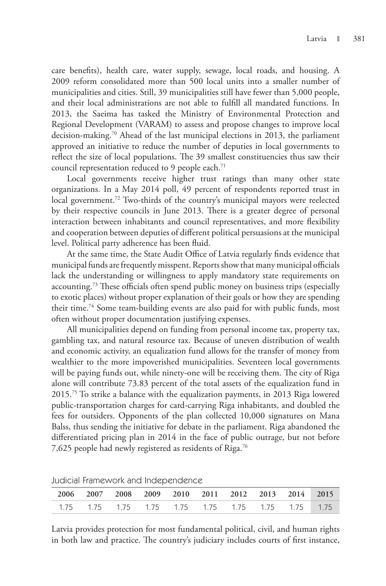care benefits), health care, water supply, sewage, local roads, and housing. A 2009 reform consolidated more than 500 local units into a smaller number of municipalities and cities. Still, 39 municipalities still have fewer than 5,000 people, and their local administrations are not able to fulfill all mandated functions. In 2013, the Saeima has tasked the Ministry of Environmental Protection and Regional Development (VARAM) to assess and propose changes to improve local decision-making.70 Ahead of the last municipal elections in 2013, the parliament approved an initiative to reduce the number of deputies in local governments to reflect the size of local populations. The 39 smallest constituencies thus saw their council representation reduced to 9 people each.<sup>71</sup>

Local governments receive higher trust ratings than many other state organizations. In a May 2014 poll, 49 percent of respondents reported trust in local government.<sup>72</sup> Two-thirds of the country's municipal mayors were reelected by their respective councils in June 2013. There is a greater degree of personal interaction between inhabitants and council representatives, and more flexibility and cooperation between deputies of different political persuasions at the municipal level. Political party adherence has been fluid.

At the same time, the State Audit Office of Latvia regularly finds evidence that municipal funds are frequently misspent. Reports show that many municipal officials lack the understanding or willingness to apply mandatory state requirements on accounting.<sup>73</sup> These officials often spend public money on business trips (especially to exotic places) without proper explanation of their goals or how they are spending their time.74 Some team-building events are also paid for with public funds, most often without proper documentation justifying expenses.

All municipalities depend on funding from personal income tax, property tax, gambling tax, and natural resource tax. Because of uneven distribution of wealth and economic activity, an equalization fund allows for the transfer of money from wealthier to the more impoverished municipalities. Seventeen local governments will be paying funds out, while ninety-one will be receiving them. The city of Riga alone will contribute 73.83 percent of the total assets of the equalization fund in 2015.75 To strike a balance with the equalization payments, in 2013 Riga lowered public-transportation charges for card-carrying Riga inhabitants, and doubled the fees for outsiders. Opponents of the plan collected 10,000 signatures on Mana Balss, thus sending the initiative for debate in the parliament. Riga abandoned the differentiated pricing plan in 2014 in the face of public outrage, but not before 7,625 people had newly registered as residents of Riga.<sup>76</sup>

| 2006 2007 2008 2009 2010 2011 2012 2013 2014 2015                          |  |  |  |  |  |
|----------------------------------------------------------------------------|--|--|--|--|--|
| 1.75   1.75   1.75   1.75   1.75   1.75   1.75   1.75   1.75   1.75   1.75 |  |  |  |  |  |

Judicial Framework and Independence

Latvia provides protection for most fundamental political, civil, and human rights in both law and practice. The country's judiciary includes courts of first instance,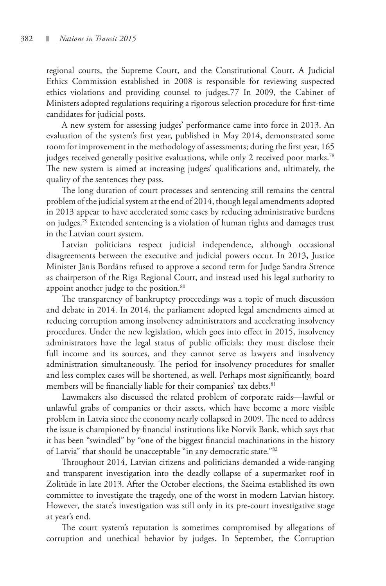regional courts, the Supreme Court, and the Constitutional Court. A Judicial Ethics Commission established in 2008 is responsible for reviewing suspected ethics violations and providing counsel to judges.77 In 2009, the Cabinet of Ministers adopted regulations requiring a rigorous selection procedure for first-time candidates for judicial posts.

A new system for assessing judges' performance came into force in 2013. An evaluation of the system's first year, published in May 2014, demonstrated some room for improvement in the methodology of assessments; during the first year, 165 judges received generally positive evaluations, while only 2 received poor marks.<sup>78</sup> The new system is aimed at increasing judges' qualifications and, ultimately, the quality of the sentences they pass.

The long duration of court processes and sentencing still remains the central problem of the judicial system at the end of 2014, though legal amendments adopted in 2013 appear to have accelerated some cases by reducing administrative burdens on judges.79 Extended sentencing is a violation of human rights and damages trust in the Latvian court system.

Latvian politicians respect judicial independence, although occasional disagreements between the executive and judicial powers occur. In 2013**,** Justice Minister Jānis Bordāns refused to approve a second term for Judge Sandra Strence as chairperson of the Riga Regional Court, and instead used his legal authority to appoint another judge to the position.<sup>80</sup>

The transparency of bankruptcy proceedings was a topic of much discussion and debate in 2014. In 2014, the parliament adopted legal amendments aimed at reducing corruption among insolvency administrators and accelerating insolvency procedures. Under the new legislation, which goes into effect in 2015, insolvency administrators have the legal status of public officials: they must disclose their full income and its sources, and they cannot serve as lawyers and insolvency administration simultaneously. The period for insolvency procedures for smaller and less complex cases will be shortened, as well. Perhaps most significantly, board members will be financially liable for their companies' tax debts.<sup>81</sup>

Lawmakers also discussed the related problem of corporate raids—lawful or unlawful grabs of companies or their assets, which have become a more visible problem in Latvia since the economy nearly collapsed in 2009. The need to address the issue is championed by financial institutions like Norvik Bank, which says that it has been "swindled" by "one of the biggest financial machinations in the history of Latvia" that should be unacceptable "in any democratic state."82

Throughout 2014, Latvian citizens and politicians demanded a wide-ranging and transparent investigation into the deadly collapse of a supermarket roof in Zolitūde in late 2013. After the October elections, the Saeima established its own committee to investigate the tragedy, one of the worst in modern Latvian history. However, the state's investigation was still only in its pre-court investigative stage at year's end.

The court system's reputation is sometimes compromised by allegations of corruption and unethical behavior by judges. In September, the Corruption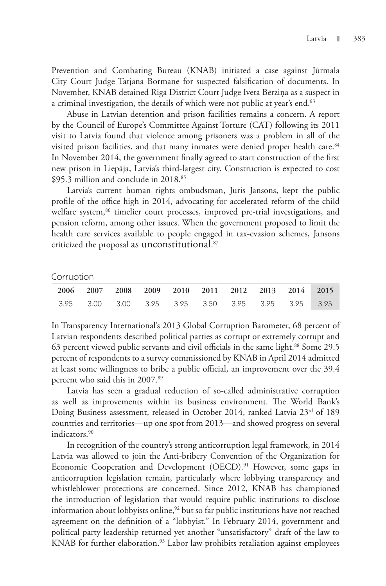Prevention and Combating Bureau (KNAB) initiated a case against Jūrmala City Court Judge Tatjana Bormane for suspected falsification of documents. In November, KNAB detained Riga District Court Judge Iveta Bērziņa as a suspect in a criminal investigation, the details of which were not public at year's end.<sup>83</sup>

Abuse in Latvian detention and prison facilities remains a concern. A report by the Council of Europe's Committee Against Torture (CAT) following its 2011 visit to Latvia found that violence among prisoners was a problem in all of the visited prison facilities, and that many inmates were denied proper health care.<sup>84</sup> In November 2014, the government finally agreed to start construction of the first new prison in Liepāja, Latvia's third-largest city. Construction is expected to cost \$95.3 million and conclude in 2018.85

Latvia's current human rights ombudsman, Juris Jansons, kept the public profile of the office high in 2014, advocating for accelerated reform of the child welfare system,<sup>86</sup> timelier court processes, improved pre-trial investigations, and pension reform, among other issues. When the government proposed to limit the health care services available to people engaged in tax-evasion schemes, Jansons criticized the proposal as unconstitutional. 87

Corruption

|  |  |  | 2006 2007 2008 2009 2010 2011 2012 2013 2014 2015 |  |  |
|--|--|--|---------------------------------------------------|--|--|
|  |  |  | 3.25 3.00 3.00 3.25 3.25 3.50 3.25 3.25 3.25 3.25 |  |  |

In Transparency International's 2013 Global Corruption Barometer, 68 percent of Latvian respondents described political parties as corrupt or extremely corrupt and 63 percent viewed public servants and civil officials in the same light.<sup>88</sup> Some 29.5 percent of respondents to a survey commissioned by KNAB in April 2014 admitted at least some willingness to bribe a public official, an improvement over the 39.4 percent who said this in 2007.<sup>89</sup>

Latvia has seen a gradual reduction of so-called administrative corruption as well as improvements within its business environment. The World Bank's Doing Business assessment, released in October 2014, ranked Latvia 23<sup>rd</sup> of 189 countries and territories—up one spot from 2013—and showed progress on several indicators.90

In recognition of the country's strong anticorruption legal framework, in 2014 Latvia was allowed to join the Anti-bribery Convention of the Organization for Economic Cooperation and Development (OECD).<sup>91</sup> However, some gaps in anticorruption legislation remain, particularly where lobbying transparency and whistleblower protections are concerned. Since 2012, KNAB has championed the introduction of legislation that would require public institutions to disclose information about lobbyists online, $92$  but so far public institutions have not reached agreement on the definition of a "lobbyist." In February 2014, government and political party leadership returned yet another "unsatisfactory" draft of the law to KNAB for further elaboration.<sup>93</sup> Labor law prohibits retaliation against employees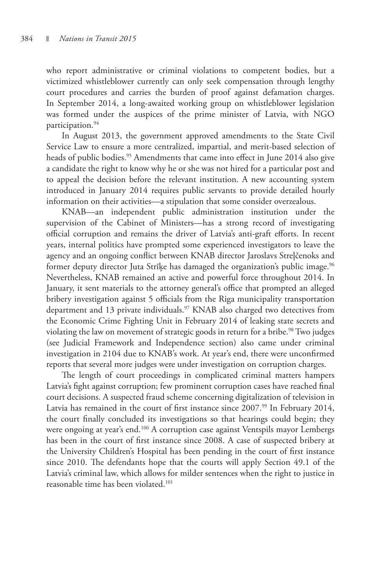who report administrative or criminal violations to competent bodies, but a victimized whistleblower currently can only seek compensation through lengthy court procedures and carries the burden of proof against defamation charges. In September 2014, a long-awaited working group on whistleblower legislation was formed under the auspices of the prime minister of Latvia, with NGO participation.<sup>94</sup>

In August 2013, the government approved amendments to the State Civil Service Law to ensure a more centralized, impartial, and merit-based selection of heads of public bodies.<sup>95</sup> Amendments that came into effect in June 2014 also give a candidate the right to know why he or she was not hired for a particular post and to appeal the decision before the relevant institution. A new accounting system introduced in January 2014 requires public servants to provide detailed hourly information on their activities—a stipulation that some consider overzealous.

KNAB—an independent public administration institution under the supervision of the Cabinet of Ministers—has a strong record of investigating official corruption and remains the driver of Latvia's anti-graft efforts. In recent years, internal politics have prompted some experienced investigators to leave the agency and an ongoing conflict between KNAB director Jaroslavs Streļčenoks and former deputy director Juta Strīķe has damaged the organization's public image.<sup>96</sup> Nevertheless, KNAB remained an active and powerful force throughout 2014. In January, it sent materials to the attorney general's office that prompted an alleged bribery investigation against 5 officials from the Riga municipality transportation department and 13 private individuals.<sup>97</sup> KNAB also charged two detectives from the Economic Crime Fighting Unit in February 2014 of leaking state secrets and violating the law on movement of strategic goods in return for a bribe.<sup>98</sup> Two judges (see Judicial Framework and Independence section) also came under criminal investigation in 2104 due to KNAB's work. At year's end, there were unconfirmed reports that several more judges were under investigation on corruption charges.

The length of court proceedings in complicated criminal matters hampers Latvia's fight against corruption; few prominent corruption cases have reached final court decisions. A suspected fraud scheme concerning digitalization of television in Latvia has remained in the court of first instance since 2007.<sup>99</sup> In February 2014, the court finally concluded its investigations so that hearings could begin; they were ongoing at year's end.<sup>100</sup> A corruption case against Ventspils mayor Lembergs has been in the court of first instance since 2008. A case of suspected bribery at the University Children's Hospital has been pending in the court of first instance since 2010. The defendants hope that the courts will apply Section 49.1 of the Latvia's criminal law, which allows for milder sentences when the right to justice in reasonable time has been violated.101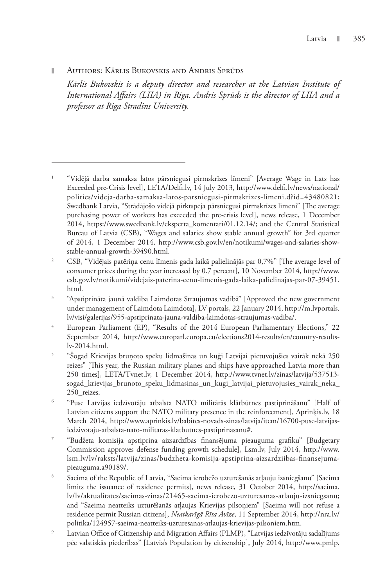### **Nuthors: Kärlis Bukovskis and Andris Sprüds**

*Kārlis Bukovskis is a deputy director and researcher at the Latvian Institute of International Affairs (LIIA) in Riga. Andris Sprūds is the director of LIIA and a professor at Riga Stradins University.*

<sup>1</sup> "Vidējā darba samaksa latos pārsniegusi pirmskrīzes līmeni" [Average Wage in Lats has Exceeded pre-Crisis level], LETA/Delfi.lv, 14 July 2013, http://www.delfi.lv/news/national/ politics/videja-darba-samaksa-latos-parsniegusi-pirmskrizes-limeni.d?id=43480821; Swedbank Latvia, "Strādājošo vidējā pirktspēja pārsniegusi pirmskrīzes līmeni" [The average purchasing power of workers has exceeded the pre-crisis level], news release, 1 December 2014, https://www.swedbank.lv/eksperta\_komentari/01.12.14/; and the Central Statistical Bureau of Latvia (CSB), "Wages and salaries show stable annual growth" for 3rd quarter of 2014, 1 December 2014, http://www.csb.gov.lv/en/notikumi/wages-and-salaries-showstable-annual-growth-39490.html.

<sup>2</sup> CSB, "Vidējais patēriņa cenu līmenis gada laikā palielinājās par 0,7%" [The average level of consumer prices during the year increased by 0.7 percent], 10 November 2014, http://www. csb.gov.lv/notikumi/videjais-paterina-cenu-limenis-gada-laika-palielinajas-par-07-39451. html.

<sup>3</sup> "Apstiprināta jaunā valdība Laimdotas Straujumas vadībā" [Approved the new government under management of Laimdota Laimdota], LV portals, 22 January 2014, http://m.lvportals. lv/visi/galerijas/955-apstiprinata-jauna-valdiba-laimdotas-straujumas-vadiba/.

<sup>4</sup> European Parliament (EP), "Results of the 2014 European Parliamentary Elections," 22 September 2014, http://www.europarl.europa.eu/elections2014-results/en/country-resultslv-2014.html.

<sup>5</sup> "Šogad Krievijas bruņoto spēku lidmašīnas un kuģi Latvijai pietuvojušies vairāk nekā 250 reizes" [This year, the Russian military planes and ships have approached Latvia more than 250 times], LETA/Tvnet.lv, 1 December 2014, http://www.tvnet.lv/zinas/latvija/537513 sogad\_krievijas\_brunoto\_speku\_lidmasinas\_un\_kugi\_latvijai\_pietuvojusies\_vairak\_neka\_ 250\_reizes.

<sup>6</sup> "Puse Latvijas iedzīvotāju atbalsta NATO militārās klātbūtnes pastiprināšanu" [Half of Latvian citizens support the NATO military presence in the reinforcement], Aprinķis.lv, 18 March 2014, http://www.aprinkis.lv/babites-novads-zinas/latvija/item/16700-puse-latvijasiedzivotaju-atbalsta-nato-militaras-klatbutnes-pastiprinasanu#.

<sup>7</sup> "Budžeta komisija apstiprina aizsardzības finansējuma pieauguma grafiku" [Budgetary Commission approves defense funding growth schedule], Lsm.lv, July 2014, http://www. lsm.lv/lv/raksts/latvija/zinas/budzheta-komisija-apstiprina-aizsardziibas-finansejumapieauguma.a90189/.

<sup>8</sup> Saeima of the Republic of Latvia, "Saeima ierobežo uzturēšanās atļauju izsniegšanu" [Saeima limits the issuance of residence permits], news release, 31 October 2014, http://saeima. lv/lv/aktualitates/saeimas-zinas/21465-saeima-ierobezo-uzturesanas-atlauju-izsniegsanu; and "Saeima neatteiks uzturēšanās atļaujas Krievijas pilsoņiem" [Saeima will not refuse a residence permit Russian citizens], *Neatkarīgā Rīta Avīze*, 11 September 2014, http://nra.lv/ politika/124957-saeima-neatteiks-uzturesanas-atlaujas-krievijas-pilsoniem.htm.

<sup>9</sup> Latvian Office of Citizenship and Migration Affairs (PLMP), "Latvijas iedzīvotāju sadalījums pēc valstiskās piederības" [Latvia's Population by citizenship], July 2014, http://www.pmlp.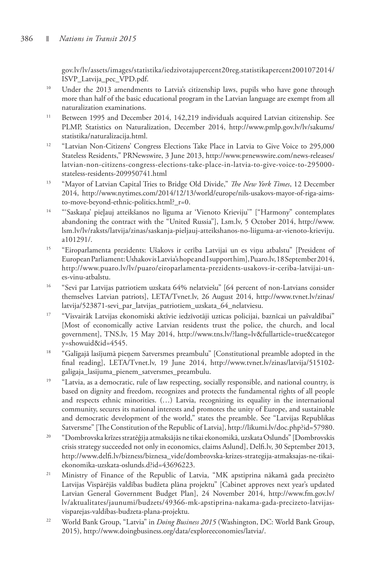gov.lv/lv/assets/images/statistika/iedzivotajupercent20reg.statistikapercent2001072014/ ISVP\_Latvija\_pec\_VPD.pdf.

- <sup>10</sup> Under the 2013 amendments to Latvia's citizenship laws, pupils who have gone through more than half of the basic educational program in the Latvian language are exempt from all naturalization examinations.
- <sup>11</sup> Between 1995 and December 2014, 142,219 individuals acquired Latvian citizenship. See PLMP, Statistics on Naturalization, December 2014, http://www.pmlp.gov.lv/lv/sakums/ statistika/naturalizacija.html.
- <sup>12</sup> "Latvian Non-Citizens' Congress Elections Take Place in Latvia to Give Voice to 295,000 Stateless Residents," PRNewswire, 3 June 2013, http://www.prnewswire.com/news-releases/ latvian-non-citizens-congress-elections-take-place-in-latvia-to-give-voice-to-295000 stateless-residents-209950741.html
- <sup>13</sup> "Mayor of Latvian Capital Tries to Bridge Old Divide," *The New York Times*, 12 December 2014, http://www.nytimes.com/2014/12/13/world/europe/nils-usakovs-mayor-of-riga-aimsto-move-beyond-ethnic-politics.html?\_r=0.
- 14 "'Saskaņa' pieļauj atteikšanos no līguma ar 'Vienoto Krieviju'" ["Harmony" contemplates abandoning the contract with the "United Russia"], Lsm.lv, 5 October 2014, http://www. lsm.lv/lv/raksts/latvija/zinas/saskanja-pieljauj-atteikshanos-no-liiguma-ar-vienoto-krieviju. a101291/.
- <sup>15</sup> "Eiroparlamenta prezidents: Ušakovs ir cerība Latvijai un es viņu atbalstu" [President of European Parliament: Ushakov is Latvia's hope and I support him], Puaro.lv, 18 September 2014, http://www.puaro.lv/lv/puaro/eiroparlamenta-prezidents-usakovs-ir-ceriba-latvijai-unes-vinu-atbalstu.
- <sup>16</sup> "Sevi par Latvijas patriotiem uzskata 64% nelatviešu" [64 percent of non-Latvians consider themselves Latvian patriots], LETA/Tvnet.lv, 26 August 2014, http://www.tvnet.lv/zinas/ latvija/523871-sevi\_par\_latvijas\_patriotiem\_uzskata\_64\_nelatviesu.
- <sup>17</sup> "Visvairāk Latvijas ekonomiski aktīvie iedzīvotāji uzticas policijai, baznīcai un pašvaldībai" [Most of economically active Latvian residents trust the police, the church, and local government], TNS.lv, 15 May 2014, http://www.tns.lv/?lang=lv&fullarticle=true&categor y=showuid&id=4545.
- <sup>18</sup> "Galīgajā lasījumā pieņem Satversmes preambulu" [Constitutional preamble adopted in the final reading], LETA/Tvnet.lv, 19 June 2014, http://www.tvnet.lv/zinas/latvija/515102 galigaja\_lasijuma\_pienem\_satversmes\_preambulu.
- <sup>19</sup> "Latvia, as a democratic, rule of law respecting, socially responsible, and national country, is based on dignity and freedom, recognizes and protects the fundamental rights of all people and respects ethnic minorities. (…) Latvia, recognizing its equality in the international community, secures its national interests and promotes the unity of Europe, and sustainable and democratic development of the world," states the preamble. See "Latvijas Republikas Satversme" [The Constitution of the Republic of Latvia], http://likumi.lv/doc.php?id=57980.
- 20 "Dombrovska krīzes stratēģija atmaksājās ne tikai ekonomikā, uzskata Oslunds" [Dombrovskis crisis strategy succeeded not only in economics, claims Aslund], Delfi.lv, 30 September 2013, http://www.delfi.lv/bizness/biznesa\_vide/dombrovska-krizes-strategija-atmaksajas-ne-tikaiekonomika-uzskata-oslunds.d?id=43696223.
- 21 Ministry of Finance of the Republic of Latvia, "MK apstiprina nākamā gada precizēto Latvijas Vispārējās valdības budžeta plāna projektu" [Cabinet approves next year's updated Latvian General Government Budget Plan], 24 November 2014, http://www.fm.gov.lv/ lv/aktualitates/jaunumi/budzets/49366-mk-apstiprina-nakama-gada-precizeto-latvijasvisparejas-valdibas-budzeta-plana-projektu.
- <sup>22</sup> World Bank Group, "Latvia" in *Doing Business 2015* (Washington, DC: World Bank Group, 2015), http://www.doingbusiness.org/data/exploreeconomies/latvia/.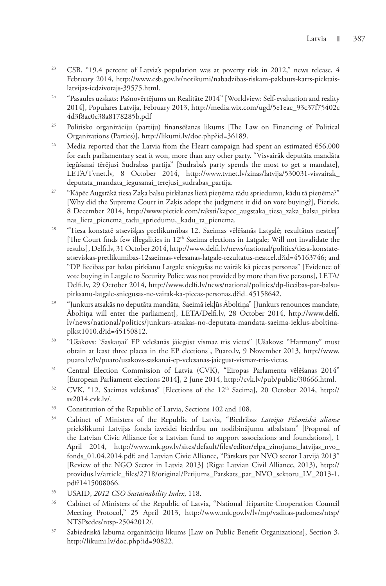- <sup>23</sup> CSB, "19.4 percent of Latvia's population was at poverty risk in 2012," news release, 4 February 2014, http://www.csb.gov.lv/notikumi/nabadzibas-riskam-paklauts-katrs-piektaislatvijas-iedzivotajs-39575.html.
- <sup>24</sup> "Pasaules uzskats: Pašnovērtējums un Realitāte 2014" [Worldview: Self-evaluation and reality 2014], Populares Latvija, February 2013, http://media.wix.com/ugd/5e1eac\_93c37f75402c 4d3f8ac0c38a8178285b.pdf
- 25 Politisko organizāciju (partiju) finansēšanas likums [The Law on Financing of Political Organizations (Parties)], http://likumi.lv/doc.php?id=36189.
- <sup>26</sup> Media reported that the Latvia from the Heart campaign had spent an estimated  $€56,000$ for each parliamentary seat it won, more than any other party. "Visvairāk deputāta mandāta iegūšanai tērējusi Sudrabas partija" [Sudraba's party spends the most to get a mandate], LETA/Tvnet.lv, 8 October 2014, http://www.tvnet.lv/zinas/latvija/530031-visvairak\_ deputata\_mandata\_iegusanai\_terejusi\_sudrabas\_partija.
- <sup>27</sup> "Kāpēc Augstākā tiesa Zaka balsu pirkšanas lietā pieņēma tādu spriedumu, kādu tā pieņēma?" [Why did the Supreme Court in Zaķis adopt the judgment it did on vote buying?], Pietiek, 8 December 2014, http://www.pietiek.com/raksti/kapec\_augstaka\_tiesa\_zaka\_balsu\_pirksa nas\_lieta\_pienema\_tadu\_spriedumu,\_kadu\_ta\_pienema.
- 28 "Tiesa konstatē atsevišķas pretlikumības 12. Saeimas vēlēšanās Latgalē; rezultātus neatceļ" [The Court finds few illegalities in 12<sup>th</sup> Saeima elections in Latgale; Will not invalidate the results], Delfi.lv, 31 October 2014, http://www.delfi.lv/news/national/politics/tiesa-konstateatseviskas-pretlikumibas-12saeimas-velesanas-latgale-rezultatus-neatcel.d?id=45163746; and "DP liecības par balsu pirkšanu Latgalē sniegušas ne vairāk kā piecas personas" [Evidence of vote buying in Latgale to Security Police was not provided by more than five persons], LETA/ Delfi.lv, 29 October 2014, http://www.delfi.lv/news/national/politics/dp-liecibas-par-balsupirksanu-latgale-sniegusas-ne-vairak-ka-piecas-personas.d?id=45158642.
- 29 "Junkurs atsakās no deputāta mandāta, Saeimā iekļūs Āboltiņa" [Junkurs renounces mandate, Āboltiņa will enter the parliament], LETA/Delfi.lv, 28 October 2014, http://www.delfi. lv/news/national/politics/junkurs-atsakas-no-deputata-mandata-saeima-ieklus-aboltinaplkst1010.d?id=45150812.
- 30 "Ušakovs: 'Saskaņai' EP vēlēšanās jāiegūst vismaz trīs vietas" [Ušakovs: "Harmony" must obtain at least three places in the EP elections], Puaro.lv, 9 November 2013, http://www. puaro.lv/lv/puaro/usakovs-saskanai-ep-velesanas-jaiegust-vismaz-tris-vietas.
- 31 Central Election Commission of Latvia (CVK), "Eiropas Parlamenta vēlēšanas 2014" [European Parliament elections 2014], 2 June 2014, http://cvk.lv/pub/public/30666.html.
- <sup>32</sup> CVK, "12. Saeimas vēlēšanas" [Elections of the 12<sup>th</sup> Saeima], 20 October 2014, http:// sv2014.cvk.lv/.
- <sup>33</sup> Constitution of the Republic of Latvia, Sections 102 and 108.
- 34 Cabinet of Ministers of the Republic of Latvia, "Biedrības *Latvijas Pilsoniskā alianse* priekšlikumi Latvijas fonda izveidei biedrību un nodibinājumu atbalstam" [Proposal of the Latvian Civic Alliance for a Latvian fund to support associations and foundations], 1 April 2014, http://www.mk.gov.lv/sites/default/files/editor/elpa\_zinojums\_latvijas\_nvo\_ fonds\_01.04.2014.pdf; and Latvian Civic Alliance, "Pārskats par NVO sector Latvijā 2013" [Review of the NGO Sector in Latvia 2013] (Riga: Latvian Civil Alliance, 2013), http:// providus.lv/article\_files/2718/original/Petijums\_Parskats\_par\_NVO\_sektoru\_LV\_2013-1. pdf?1415008066.
- 35 USAID, *2012 CSO Sustainability Index*, 118.
- <sup>36</sup> Cabinet of Ministers of the Republic of Latvia, "National Tripartite Cooperation Council Meeting Protocol," 25 April 2013, http://www.mk.gov.lv/lv/mp/vaditas-padomes/ntsp/ NTSPsedes/ntsp-25042012/.
- 37 Sabiedriskā labuma organizāciju likums [Law on Public Benefit Organizations], Section 3, http://likumi.lv/doc.php?id=90822.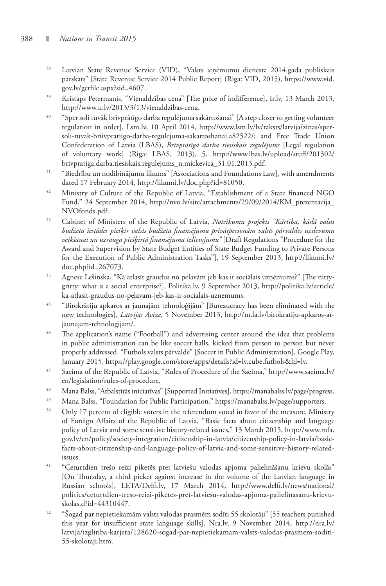- 38 Latvian State Revenue Service (VID), "Valsts ieņēmumu dienesta 2014.gada publiskais pārskats" [State Revenue Service 2014 Public Report] (Riga: VID, 2015), https://www.vid. gov.lv/getfile.aspx?sid=4607.
- <sup>39</sup> Kristaps Petermanis, "Vienaldzības cena" [The price of indifference], Ir.lv, 13 March 2013, http://www.ir.lv/2013/3/13/vienaldzibas-cena.
- 40 "Sper soli tuvāk brīvprātīgo darba regulējuma sakārtošanai" [A step closer to getting volunteer regulation in order], Lsm.lv, 10 April 2014, http://www.lsm.lv/lv/raksts/latvija/zinas/spersoli-tuvak-briivpratiigo-darba-regulejuma-sakartoshanai.a82522/; and Free Trade Union Confederation of Latvia (LBAS), *Brīvprātīgā darba tiesiskais regulējums* [Legal regulation of voluntary work] (Riga: LBAS, 2013), 5, http://www.lbas.lv/upload/stuff/201302/ brivpratiga.darba.tiesiskais.regulejums\_n.mickevica\_31.01.2013.pdf.
- 41 "Biedrību un nodibinājumu likums" [Associations and Foundations Law], with amendments dated 17 February 2014, http://likumi.lv/doc.php?id=81050.
- <sup>42</sup> Ministry of Culture of the Republic of Latvia, "Establishment of a State financed NGO Fund," 24 September 2014, http://nvo.lv/site/attachments/29/09/2014/KM\_prezentacija\_ NVOfonds.pdf.
- 43 Cabinet of Ministers of the Republic of Latvia, *Noteikumu projekts "Kārtība, kādā valsts budžeta iestādes piešķir valsts budžeta finansējumu privātpersonām valsts pārvaldes uzdevumu veikšanai un uzrauga piešķirtā finansējuma izlietojumu"* [Draft Regulations "Procedure for the Award and Supervision by State Budget Entities of State Budget Funding to Private Persons for the Execution of Public Administration Tasks"], 19 September 2013, http://likumi.lv/ doc.php?id=267073.
- 44 Agnese Lešinska, "Kā atlasīt graudus no pelavām jeb kas ir sociālais uzņēmums?" [The nittygritty: what is a social enterprise?], Politika.lv, 9 September 2013, http://politika.lv/article/ ka-atlasit-graudus-no-pelavam-jeb-kas-ir-socialais-uznemums.
- 45 "Birokrātiju apkaros ar jaunajām tehnoloģijām" [Bureaucracy has been eliminated with the new technologies], *Latvijas Avīze*, 5 November 2013, http://m.la.lv/birokratiju-apkaros-arjaunajam-tehnologijam/.
- <sup>46</sup> The application's name ("Football") and advertising center around the idea that problems in public administration can be like soccer balls, kicked from person to person but never properly addressed. "Futbols valsts pārvaldē" [Soccer in Public Administration], Google Play, January 2015, https://play.google.com/store/apps/details?id=lv.cube.futbols&hl=lv.
- 47 Saeima of the Republic of Latvia, "Rules of Procedure of the Saeima," http://www.saeima.lv/ en/legislation/rules-of-procedure.
- 48 Mana Balss, "Atbalstītās iniciatīvas" [Supported Initiatives], https://manabalss.lv/page/progress.
- <sup>49</sup> Mana Balss, "Foundation for Public Participation," https://manabalss.lv/page/supporters.
- <sup>50</sup> Only 17 percent of eligible voters in the referendum voted in favor of the measure. Ministry of Foreign Affairs of the Republic of Latvia, "Basic facts about citizenship and language policy of Latvia and some sensitive history-related issues," 13 March 2015, http://www.mfa. gov.lv/en/policy/society-integration/citizenship-in-latvia/citizenship-policy-in-latvia/basicfacts-about-citizenship-and-language-policy-of-latvia-and-some-sensitive-history-relatedissues.
- 51 "Ceturtdien trešo reizi piketēs pret latviešu valodas apjoma palielināšanu krievu skolās" [On Thursday, a third picket against increase in the volume of the Latvian language in Russian schools], LETA/Delfi.lv, 17 March 2014, http://www.delfi.lv/news/national/ politics/ceturtdien-treso-reizi-piketes-pret-latviesu-valodas-apjoma-palielinasanu-krievuskolas.d?id=44310447.
- 52 "Šogad par nepietiekamām valsts valodas prasmēm sodīti 55 skolotāji" [55 teachers punished this year for insufficient state language skills], Nra.lv, 9 November 2014, http://nra.lv/ latvija/izglitiba-karjera/128620-sogad-par-nepietiekamam-valsts-valodas-prasmem-soditi-55-skolotaji.htm.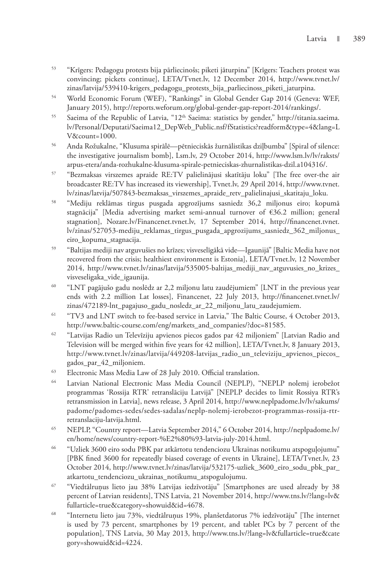- 53 "Krīgers: Pedagogu protests bija pārliecinošs; piketi jāturpina" [Krīgers: Teachers protest was convincing; pickets continue], LETA/Tvnet.lv, 12 December 2014, http://www.tvnet.lv/ zinas/latvija/539410-krigers\_pedagogu\_protests\_bija\_parliecinoss\_piketi\_jaturpina.
- 54 World Economic Forum (WEF), "Rankings" in Global Gender Gap 2014 (Geneva: WEF, January 2015), http://reports.weforum.org/global-gender-gap-report-2014/rankings/.
- <sup>55</sup> Saeima of the Republic of Latvia, "12<sup>th</sup> Saeima: statistics by gender," http://titania.saeima. lv/Personal/Deputati/Saeima12\_DepWeb\_Public.nsf/fStatistics?readform&type=4&lang=L V&count=1000.
- 56 Anda Rožukalne, "Klusuma spirālē—pētnieciskās žurnālistikas dziļbumba" [Spiral of silence: the investigative journalism bomb], Lsm.lv, 29 October 2014, http://www.lsm.lv/lv/raksts/ arpus-etera/anda-rozhukalne-klusuma-spirale-petnieciskas-zhurnalistikas-dzil.a104316/.
- 57 "Bezmaksas virszemes apraide RE:TV palielinājusi skatītāju loku" [The free over-the air broadcaster RE:TV has increased its viewership], Tvnet.lv, 29 April 2014, http://www.tvnet. lv/zinas/latvija/507843-bezmaksas\_virszemes\_apraide\_retv\_palielinajusi\_skatitaju\_loku.
- 58 "Mediju reklāmas tirgus pusgada apgrozījums sasniedz 36,2 miljonus eiro; kopumā stagnācija" [Media advertising market semi-annual turnover of €36.2 million; general stagnation], Nozare.lv/Financenet.tvnet.lv, 17 September 2014, http://financenet.tvnet. lv/zinas/527053-mediju\_reklamas\_tirgus\_pusgada\_apgrozijums\_sasniedz\_362\_miljonus\_ eiro\_kopuma\_stagnacija.
- 59 "Baltijas mediji nav atguvušies no krīzes; visveselīgākā vide—Igaunijā" [Baltic Media have not recovered from the crisis; healthiest environment is Estonia], LETA/Tvnet.lv, 12 November 2014, http://www.tvnet.lv/zinas/latvija/535005-baltijas\_mediji\_nav\_atguvusies\_no\_krizes\_ visveseligaka\_vide\_igaunija.
- 60 "LNT pagājušo gadu noslēdz ar 2,2 miljonu latu zaudējumiem" [LNT in the previous year ends with 2.2 million Lat losses], Financenet, 22 July 2013, http://financenet.tvnet.lv/ zinas/472189-lnt\_pagajuso\_gadu\_nosledz\_ar\_22\_miljonu\_latu\_zaudejumiem.
- <sup>61</sup> "TV3 and LNT switch to fee-based service in Latvia," The Baltic Course, 4 October 2013, http://www.baltic-course.com/eng/markets\_and\_companies/?doc=81585.
- 62 "Latvijas Radio un Televīziju apvienos piecos gados par 42 miljoniem" [Latvian Radio and Television will be merged within five years for 42 million], LETA/Tvnet.lv, 8 January 2013, http://www.tvnet.lv/zinas/latvija/449208-latvijas\_radio\_un\_televiziju\_apvienos\_piecos\_ gados\_par\_42\_miljoniem.
- 63 Electronic Mass Media Law of 28 July 2010. Official translation.
- 64 Latvian National Electronic Mass Media Council (NEPLP), "NEPLP nolemj ierobežot programmas 'Rossija RTR' retranslāciju Latvijā" [NEPLP decides to limit Rossiya RTR's retransmission in Latvia], news release, 3 April 2014, http://www.neplpadome.lv/lv/sakums/ padome/padomes-sedes/sedes-sadalas/neplp-nolemj-ierobezot-programmas-rossija-rtrretranslaciju-latvija.html.
- 65 NEPLP, "Country report—Latvia September 2014," 6 October 2014, http://neplpadome.lv/ en/home/news/country-report-%E2%80%93-latvia-july-2014.html.
- 66 "Uzliek 3600 eiro sodu PBK par atkārtotu tendenciozu Ukrainas notikumu atspoguļojumu" [PBK fined 3600 for repeatedly biased coverage of events in Ukraine], LETA/Tvnet.lv, 23 October 2014, http://www.tvnet.lv/zinas/latvija/532175-uzliek\_3600\_eiro\_sodu\_pbk\_par\_ atkartotu\_tendenciozu\_ukrainas\_notikumu\_atspogulojumu.
- 67 "Viedtālruņus lieto jau 38% Latvijas iedzīvotāju" [Smartphones are used already by 38 percent of Latvian residents], TNS Latvia, 21 November 2014, http://www.tns.lv/?lang=lv& fullarticle=true&category=showuid&id=4678.
- 68 "Internetu lieto jau 73%, viedtālruņus 19%, planšetdatorus 7% iedzīvotāju" [The internet is used by 73 percent, smartphones by 19 percent, and tablet PCs by 7 percent of the population], TNS Latvia, 30 May 2013, http://www.tns.lv/?lang=lv&fullarticle=true&cate gory=showuid&id=4224.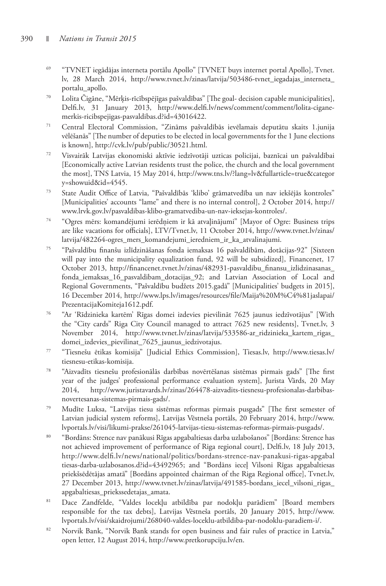- 69 "TVNET iegādājas interneta portālu Apollo" [TVNET buys internet portal Apollo], Tvnet. lv, 28 March 2014, http://www.tvnet.lv/zinas/latvija/503486-tvnet\_iegadajas\_interneta\_ portalu\_apollo.
- 70 Lolita Čigāne, "Mērķis-rīcībspējīgas pašvaldības" [The goal- decision capable municipalities], Delfi.lv, 31 January 2013, http://www.delfi.lv/news/comment/comment/lolita-ciganemerkis-ricibspejigas-pasvaldibas.d?id=43016422.
- 71 Central Electoral Commission, "Zināms pašvaldībās ievēlamais deputātu skaits 1.junija vēlēšanās" [The number of deputies to be elected in local governments for the 1 June elections is known], http://cvk.lv/pub/public/30521.html.
- 72 Visvairāk Latvijas ekonomiski aktīvie iedzīvotāji uzticas policijai, baznīcai un pašvaldībai [Economically active Latvian residents trust the police, the church and the local government the most], TNS Latvia, 15 May 2014, http://www.tns.lv/?lang=lv&fullarticle=true&categor y=showuid&id=4545.
- 73 State Audit Office of Latvia, "Pašvaldībās 'klibo' grāmatvedība un nav iekšējās kontroles" [Municipalities' accounts "lame" and there is no internal control], 2 October 2014, http:// www.lrvk.gov.lv/pasvaldibas-klibo-gramatvediba-un-nav-ieksejas-kontroles/.
- 74 "Ogres mērs: komandējumi ierēdņiem ir kā atvaļinājumi" [Mayor of Ogre: Business trips are like vacations for officials], LTV/Tvnet.lv, 11 October 2014, http://www.tvnet.lv/zinas/ latvija/482264-ogres\_mers\_komandejumi\_ieredniem\_ir\_ka\_atvalinajumi.
- 75 "Pašvaldību finanšu izlīdzināšanas fonda iemaksas 16 pašvaldībām, dotācijas-92" [Sixteen will pay into the municipality equalization fund, 92 will be subsidized], Financenet, 17 October 2013, http://financenet.tvnet.lv/zinas/482931-pasvaldibu\_finansu\_izlidzinasanas\_ fonda\_iemaksas\_16\_pasvaldibam\_dotacijas\_92; and Latvian Association of Local and Regional Governments, "Pašvaldību budžets 2015.gadā" [Municipalities' budgets in 2015], 16 December 2014, http://www.lps.lv/images/resources/file/Maija%20M%C4%81jaslapai/ PrezentacijaKomiteja1612.pdf.
- 76 "Ar 'Rīdzinieka kartēm' Rīgas domei izdevies pievilināt 7625 jaunus iedzīvotājus" [With the "City cards" Riga City Council managed to attract 7625 new residents], Tvnet.lv, 3 November 2014, http://www.tvnet.lv/zinas/latvija/533586-ar\_ridzinieka\_kartem\_rigas\_ domei\_izdevies\_pievilinat\_7625\_jaunus\_iedzivotajus.
- 77 "Tiesnešu ētikas komisija" [Judicial Ethics Commission], Tiesas.lv, http://www.tiesas.lv/ tiesnesu-etikas-komisija.
- 78 "Aizvadīts tiesnešu profesionālās darbības novērtēšanas sistēmas pirmais gads" [The first year of the judges' professional performance evaluation system], Jurista Vārds, 20 May 2014, http://www.juristavards.lv/zinas/264478-aizvadits-tiesnesu-profesionalas-darbibasnovertesanas-sistemas-pirmais-gads/.
- 79 Mudīte Luksa, "Latvijas tiesu sistēmas reformas pirmais pusgads" [The first semester of Latvian judicial system reforms], Latvijas Vēstneša portāls, 20 February 2014, http://www. lvportals.lv/visi/likumi-prakse/261045-latvijas-tiesu-sistemas-reformas-pirmais-pusgads/.
- 80 "Bordāns: Strence nav panākusi Rīgas apgabaltiesas darba uzlabošanos" [Bordāns: Strence has not achieved improvement of performance of Riga regional court], Delfi.lv, 18 July 2013, http://www.delfi.lv/news/national/politics/bordans-strence-nav-panakusi-rigas-apgabal tiesas-darba-uzlabosanos.d?id=43492965; and "Bordāns ieceļ Vilsoni Rīgas apgabaltiesas priekšsēdētājas amatā" [Bordāns appointed chairman of the Riga Regional office], Tvnet.lv, 27 December 2013, http://www.tvnet.lv/zinas/latvija/491585-bordans\_iecel\_vilsoni\_rigas\_ apgabaltiesas\_priekssedetajas\_amata.
- 81 Dace Zandfelde, "Valdes locekļu atbildība par nodokļu parādiem" [Board members responsible for the tax debts], Latvijas Vēstneša portāls, 20 January 2015, http://www. lvportals.lv/visi/skaidrojumi/268040-valdes-loceklu-atbildiba-par-nodoklu-paradiem-i/.
- 82 Norvik Bank, "Norvik Bank stands for open business and fair rules of practice in Latvia," open letter, 12 August 2014, http://www.pretkorupciju.lv/en.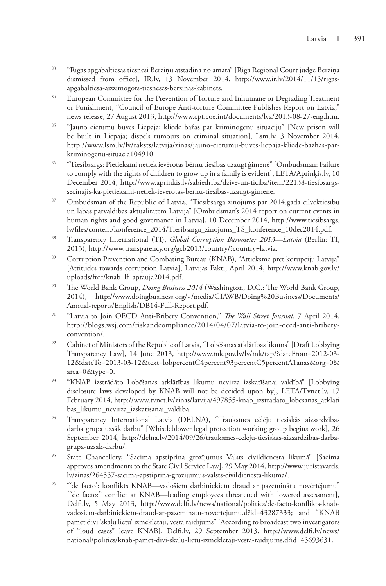- 83 "Rīgas apgabaltiesas tiesnesi Bērziņu atstādina no amata" [Riga Regional Court judge Bērziņa dismissed from office], IR.lv, 13 November 2014, http://www.ir.lv/2014/11/13/rigasapgabaltiesa-aizzimogots-tiesneses-berzinas-kabinets.
- <sup>84</sup> European Committee for the Prevention of Torture and Inhumane or Degrading Treatment or Punishment, "Council of Europe Anti-torture Committee Publishes Report on Latvia," news release, 27 August 2013, http://www.cpt.coe.int/documents/lva/2013-08-27-eng.htm.
- 85 "Jauno cietumu būvēs Liepājā; kliedē bažas par kriminogēnu situāciju" [New prison will be built in Liepāja; dispels rumours on criminal situation], Lsm.lv, 3 November 2014, http://www.lsm.lv/lv/raksts/latvija/zinas/jauno-cietumu-buves-liepaja-kliede-bazhas-parkriminogenu-situac.a104910.
- 86 "Tiesībsargs: Pietiekami netiek ievērotas bērnu tiesības uzaugt ģimenē" [Ombudsman: Failure to comply with the rights of children to grow up in a family is evident], LETA/Aprinķis.lv, 10 December 2014, http://www.aprinkis.lv/sabiedriba/dzive-un-ticiba/item/22138-tiesibsargssecinajis-ka-pietiekami-netiek-ieverotas-bernu-tiesibas-uzaugt-gimene.
- 87 Ombudsman of the Republic of Latvia, "Tiesībsarga ziņojums par 2014.gada cilvēktiesību un labas pārvaldības aktualitātēm Latvijā" [Ombudsman's 2014 report on current events in human rights and good governance in Latvia], 10 December 2014, http://www.tiesibsargs. lv/files/content/konference\_2014/Tiesibsarga\_zinojums\_TS\_konference\_10dec2014.pdf.
- 88 Transparency International (TI), *Global Corruption Barometer 2013—Latvia* (Berlin: TI, 2013), http://www.transparency.org/gcb2013/country/?country=latvia.
- 89 Corruption Prevention and Combating Bureau (KNAB), "Attieksme pret korupciju Latvijā" [Attitudes towards corruption Latvia], Latvijas Fakti, April 2014, http://www.knab.gov.lv/ uploads/free/knab\_lf\_aptauja2014.pdf.
- <sup>90</sup> The World Bank Group, *Doing Business 2014* (Washington, D.C.: The World Bank Group, 2014), http://www.doingbusiness.org/~/media/GIAWB/Doing%20Business/Documents/ Annual-reports/English/DB14-Full-Report.pdf.
- 91 "Latvia to Join OECD Anti-Bribery Convention," *The Wall Street Journal*, 7 April 2014, http://blogs.wsj.com/riskandcompliance/2014/04/07/latvia-to-join-oecd-anti-briberyconvention/.
- 92 Cabinet of Ministers of the Republic of Latvia, "Lobēšanas atklātības likums" [Draft Lobbying Transparency Law], 14 June 2013, http://www.mk.gov.lv/lv/mk/tap/?dateFrom=2012-03- 12&dateTo=2013-03-12&text=lobpercentC4percent93percentC5percentA1anas&org=0& area=0&type=0.
- 93 "KNAB izstrādāto Lobēšanas atklātības likumu nevirza izskatīšanai valdībā" [Lobbying disclosure laws developed by KNAB will not be decided upon by], LETA/Tvnet.lv, 17 February 2014, http://www.tvnet.lv/zinas/latvija/497855-knab\_izstradato\_lobesanas\_atklati bas\_likumu\_nevirza\_izskatisanai\_valdiba.
- 94 Transparency International Latvia (DELNA), "Trauksmes cēlēju tiesiskās aizsardzības darba grupa uzsāk darbu" [Whistleblower legal protection working group begins work], 26 September 2014, http://delna.lv/2014/09/26/trauksmes-celeju-tiesiskas-aizsardzibas-darbagrupa-uzsak-darbu/.
- 95 State Chancellery, "Saeima apstiprina grozījumus Valsts civildienesta likumā" [Saeima approves amendments to the State Civil Service Law], 29 May 2014, http://www.juristavards. lv/zinas/264537-saeima-apstiprina-grozijumus-valsts-civildienesta-likuma/.
- 96 "'de facto': konflikts KNAB—vadošiem darbiniekiem draud ar pazeminātu novērtējumu" ["de facto:" conflict at KNAB—leading employees threatened with lowered assessment], Delfi.lv, 5 May 2013, http://www.delfi.lv/news/national/politics/de-facto-konflikts-knabvadosiem-darbiniekiem-draud-ar-pazeminatu-novertejumu.d?id=43287333; and "KNAB pamet divi 'skaļu lietu' izmeklētāji, vēsta raidījums" [According to broadcast two investigators of "loud cases" leave KNAB], Delfi.lv, 29 September 2013, http://www.delfi.lv/news/ national/politics/knab-pamet-divi-skalu-lietu-izmekletaji-vesta-raidijums.d?id=43693631.